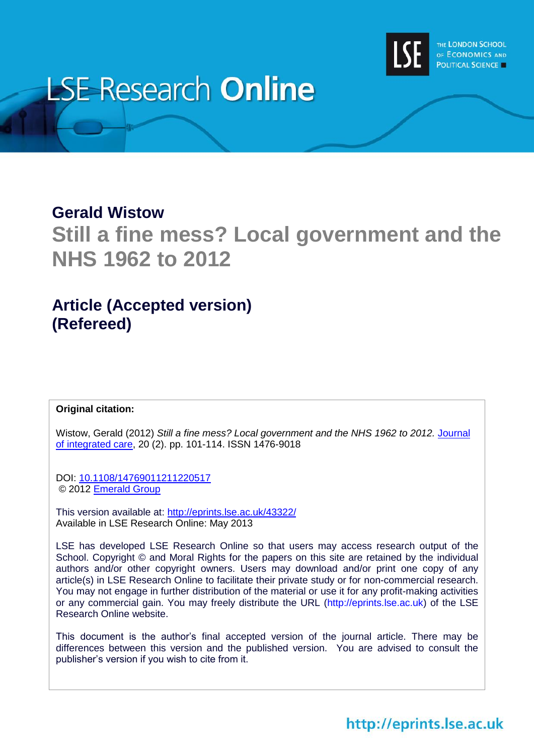

# **LSE Research Online**

# **Gerald Wistow**

**Still a fine mess? Local government and the NHS 1962 to 2012**

# **Article (Accepted version) (Refereed)**

# **Original citation:**

Wistow, Gerald (2012) *Still a fine mess? Local government and the NHS 1962 to 2012.* [Journal](http://www.emeraldinsight.com/products/journals/journals.htm?id=JICA)  [of integrated care,](http://www.emeraldinsight.com/products/journals/journals.htm?id=JICA) 20 (2). pp. 101-114. ISSN 1476-9018

DOI:<10.1108/14769011211220517> © 2012 [Emerald Group](http://www.emeraldinsight.com/products/journals/journals.htm?id=JICA)

This version available at:<http://eprints.lse.ac.uk/43322/> Available in LSE Research Online: May 2013

LSE has developed LSE Research Online so that users may access research output of the School. Copyright © and Moral Rights for the papers on this site are retained by the individual authors and/or other copyright owners. Users may download and/or print one copy of any article(s) in LSE Research Online to facilitate their private study or for non-commercial research. You may not engage in further distribution of the material or use it for any profit-making activities or any commercial gain. You may freely distribute the URL (http://eprints.lse.ac.uk) of the LSE Research Online website.

This document is the author's final accepted version of the journal article. There may be differences between this version and the published version. You are advised to consult the publisher's version if you wish to cite from it.

# http://eprints.lse.ac.uk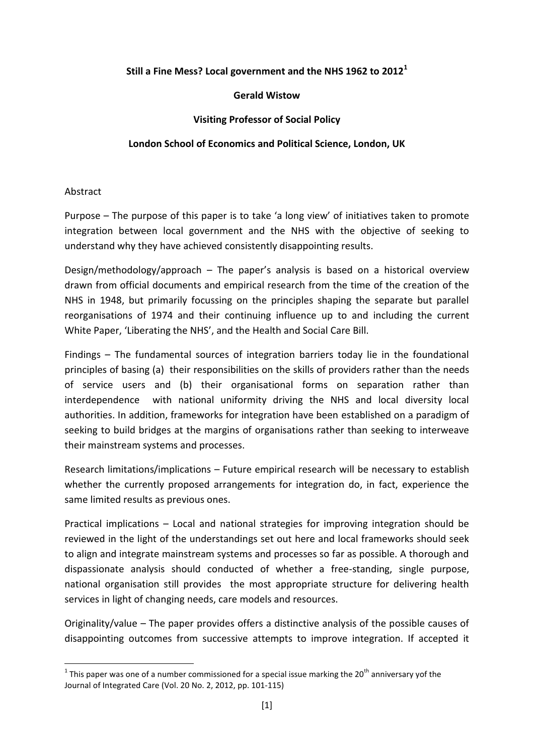# **Still a Fine Mess? Local government and the NHS 1962 to 2012<sup>1</sup>**

#### **Gerald Wistow**

## **Visiting Professor of Social Policy**

# **London School of Economics and Political Science, London, UK**

#### Abstract

1

Purpose – The purpose of this paper is to take 'a long view' of initiatives taken to promote integration between local government and the NHS with the objective of seeking to understand why they have achieved consistently disappointing results.

Design/methodology/approach – The paper's analysis is based on a historical overview drawn from official documents and empirical research from the time of the creation of the NHS in 1948, but primarily focussing on the principles shaping the separate but parallel reorganisations of 1974 and their continuing influence up to and including the current White Paper, 'Liberating the NHS', and the Health and Social Care Bill.

Findings – The fundamental sources of integration barriers today lie in the foundational principles of basing (a) their responsibilities on the skills of providers rather than the needs of service users and (b) their organisational forms on separation rather than interdependence with national uniformity driving the NHS and local diversity local authorities. In addition, frameworks for integration have been established on a paradigm of seeking to build bridges at the margins of organisations rather than seeking to interweave their mainstream systems and processes.

Research limitations/implications – Future empirical research will be necessary to establish whether the currently proposed arrangements for integration do, in fact, experience the same limited results as previous ones.

Practical implications – Local and national strategies for improving integration should be reviewed in the light of the understandings set out here and local frameworks should seek to align and integrate mainstream systems and processes so far as possible. A thorough and dispassionate analysis should conducted of whether a free-standing, single purpose, national organisation still provides the most appropriate structure for delivering health services in light of changing needs, care models and resources.

Originality/value – The paper provides offers a distinctive analysis of the possible causes of disappointing outcomes from successive attempts to improve integration. If accepted it

<sup>&</sup>lt;sup>1</sup> This paper was one of a number commissioned for a special issue marking the 20<sup>th</sup> anniversary yof the Journal of Integrated Care (Vol. 20 No. 2, 2012, pp. 101-115)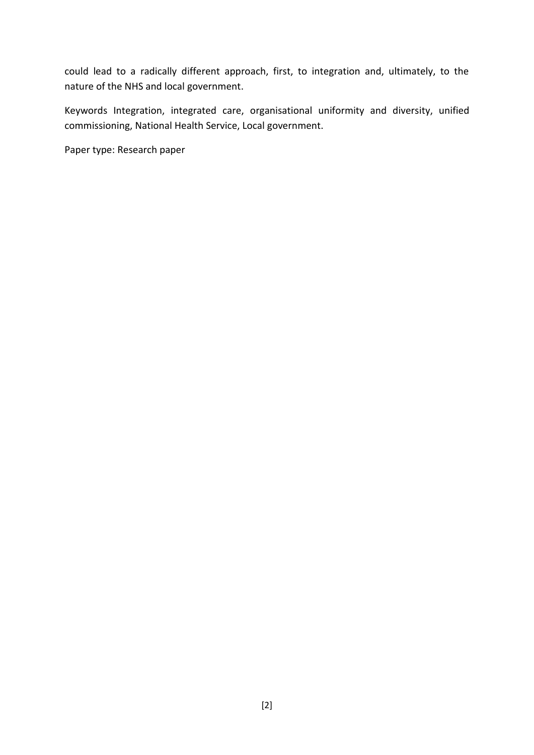could lead to a radically different approach, first, to integration and, ultimately, to the nature of the NHS and local government.

Keywords Integration, integrated care, organisational uniformity and diversity, unified commissioning, National Health Service, Local government.

Paper type: Research paper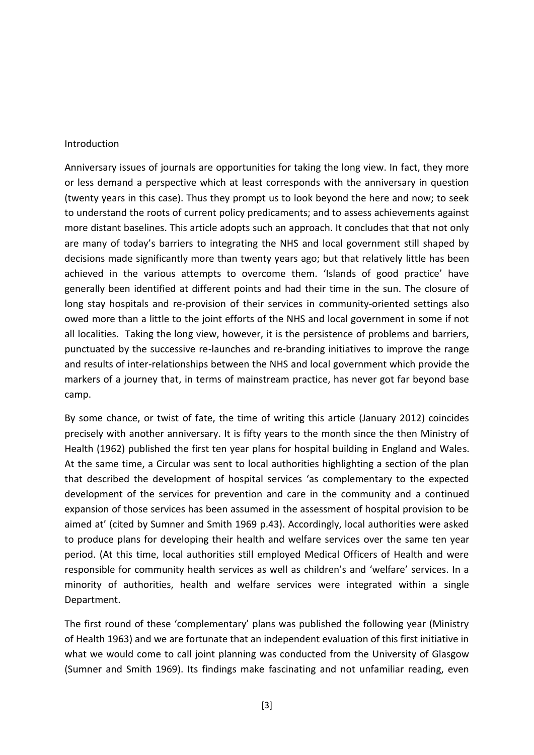#### Introduction

Anniversary issues of journals are opportunities for taking the long view. In fact, they more or less demand a perspective which at least corresponds with the anniversary in question (twenty years in this case). Thus they prompt us to look beyond the here and now; to seek to understand the roots of current policy predicaments; and to assess achievements against more distant baselines. This article adopts such an approach. It concludes that that not only are many of today's barriers to integrating the NHS and local government still shaped by decisions made significantly more than twenty years ago; but that relatively little has been achieved in the various attempts to overcome them. 'Islands of good practice' have generally been identified at different points and had their time in the sun. The closure of long stay hospitals and re-provision of their services in community-oriented settings also owed more than a little to the joint efforts of the NHS and local government in some if not all localities. Taking the long view, however, it is the persistence of problems and barriers, punctuated by the successive re-launches and re-branding initiatives to improve the range and results of inter-relationships between the NHS and local government which provide the markers of a journey that, in terms of mainstream practice, has never got far beyond base camp.

By some chance, or twist of fate, the time of writing this article (January 2012) coincides precisely with another anniversary. It is fifty years to the month since the then Ministry of Health (1962) published the first ten year plans for hospital building in England and Wales. At the same time, a Circular was sent to local authorities highlighting a section of the plan that described the development of hospital services 'as complementary to the expected development of the services for prevention and care in the community and a continued expansion of those services has been assumed in the assessment of hospital provision to be aimed at' (cited by Sumner and Smith 1969 p.43). Accordingly, local authorities were asked to produce plans for developing their health and welfare services over the same ten year period. (At this time, local authorities still employed Medical Officers of Health and were responsible for community health services as well as children's and 'welfare' services. In a minority of authorities, health and welfare services were integrated within a single Department.

The first round of these 'complementary' plans was published the following year (Ministry of Health 1963) and we are fortunate that an independent evaluation of this first initiative in what we would come to call joint planning was conducted from the University of Glasgow (Sumner and Smith 1969). Its findings make fascinating and not unfamiliar reading, even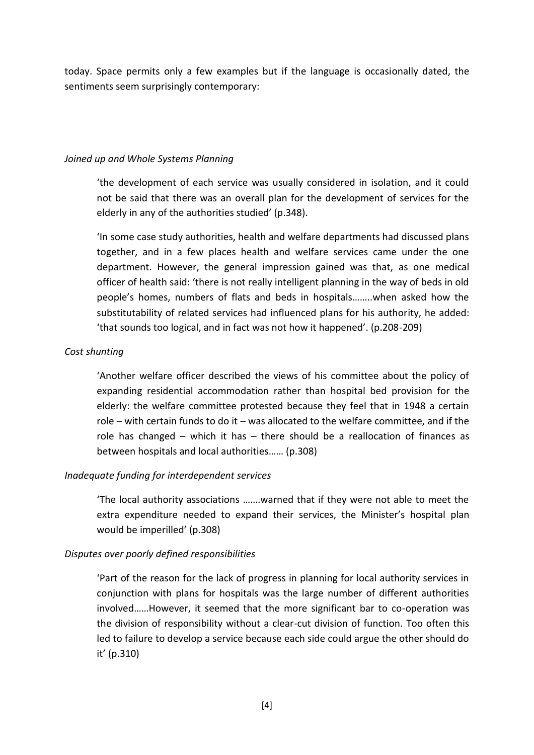today. Space permits only a few examples but if the language is occasionally dated, the sentiments seem surprisingly contemporary:

## *Joined up and Whole Systems Planning*

'the development of each service was usually considered in isolation, and it could not be said that there was an overall plan for the development of services for the elderly in any of the authorities studied' (p.348).

'In some case study authorities, health and welfare departments had discussed plans together, and in a few places health and welfare services came under the one department. However, the general impression gained was that, as one medical officer of health said: 'there is not really intelligent planning in the way of beds in old people's homes, numbers of flats and beds in hospitals……..when asked how the substitutability of related services had influenced plans for his authority, he added: 'that sounds too logical, and in fact was not how it happened'. (p.208-209)

# *Cost shunting*

'Another welfare officer described the views of his committee about the policy of expanding residential accommodation rather than hospital bed provision for the elderly: the welfare committee protested because they feel that in 1948 a certain role – with certain funds to do it – was allocated to the welfare committee, and if the role has changed – which it has – there should be a reallocation of finances as between hospitals and local authorities…… (p.308)

# *Inadequate funding for interdependent services*

'The local authority associations …….warned that if they were not able to meet the extra expenditure needed to expand their services, the Minister's hospital plan would be imperilled' (p.308)

# *Disputes over poorly defined responsibilities*

'Part of the reason for the lack of progress in planning for local authority services in conjunction with plans for hospitals was the large number of different authorities involved……However, it seemed that the more significant bar to co-operation was the division of responsibility without a clear-cut division of function. Too often this led to failure to develop a service because each side could argue the other should do it' (p.310)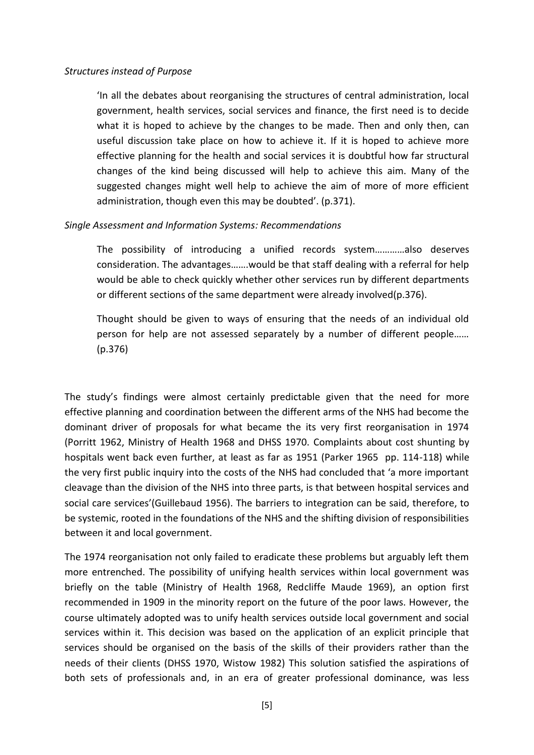#### *Structures instead of Purpose*

'In all the debates about reorganising the structures of central administration, local government, health services, social services and finance, the first need is to decide what it is hoped to achieve by the changes to be made. Then and only then, can useful discussion take place on how to achieve it. If it is hoped to achieve more effective planning for the health and social services it is doubtful how far structural changes of the kind being discussed will help to achieve this aim. Many of the suggested changes might well help to achieve the aim of more of more efficient administration, though even this may be doubted'. (p.371).

#### *Single Assessment and Information Systems: Recommendations*

The possibility of introducing a unified records system…………also deserves consideration. The advantages…….would be that staff dealing with a referral for help would be able to check quickly whether other services run by different departments or different sections of the same department were already involved(p.376).

Thought should be given to ways of ensuring that the needs of an individual old person for help are not assessed separately by a number of different people…… (p.376)

The study's findings were almost certainly predictable given that the need for more effective planning and coordination between the different arms of the NHS had become the dominant driver of proposals for what became the its very first reorganisation in 1974 (Porritt 1962, Ministry of Health 1968 and DHSS 1970. Complaints about cost shunting by hospitals went back even further, at least as far as 1951 (Parker 1965 pp. 114-118) while the very first public inquiry into the costs of the NHS had concluded that 'a more important cleavage than the division of the NHS into three parts, is that between hospital services and social care services'(Guillebaud 1956). The barriers to integration can be said, therefore, to be systemic, rooted in the foundations of the NHS and the shifting division of responsibilities between it and local government.

The 1974 reorganisation not only failed to eradicate these problems but arguably left them more entrenched. The possibility of unifying health services within local government was briefly on the table (Ministry of Health 1968, Redcliffe Maude 1969), an option first recommended in 1909 in the minority report on the future of the poor laws. However, the course ultimately adopted was to unify health services outside local government and social services within it. This decision was based on the application of an explicit principle that services should be organised on the basis of the skills of their providers rather than the needs of their clients (DHSS 1970, Wistow 1982) This solution satisfied the aspirations of both sets of professionals and, in an era of greater professional dominance, was less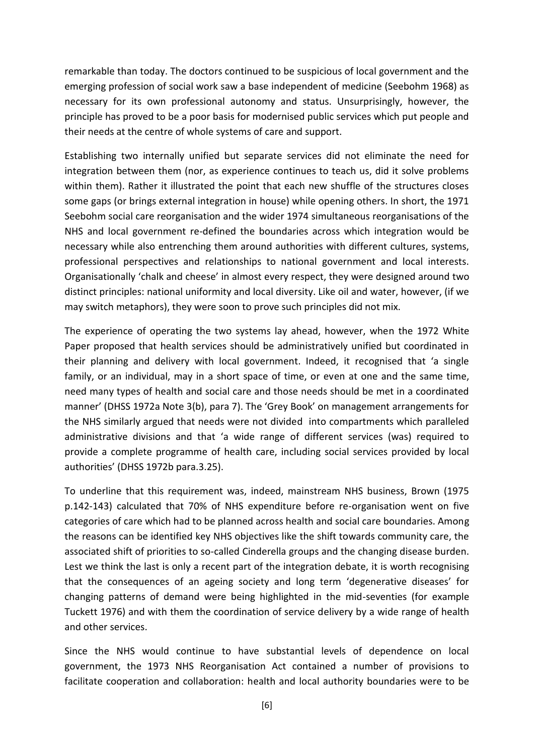remarkable than today. The doctors continued to be suspicious of local government and the emerging profession of social work saw a base independent of medicine (Seebohm 1968) as necessary for its own professional autonomy and status. Unsurprisingly, however, the principle has proved to be a poor basis for modernised public services which put people and their needs at the centre of whole systems of care and support.

Establishing two internally unified but separate services did not eliminate the need for integration between them (nor, as experience continues to teach us, did it solve problems within them). Rather it illustrated the point that each new shuffle of the structures closes some gaps (or brings external integration in house) while opening others. In short, the 1971 Seebohm social care reorganisation and the wider 1974 simultaneous reorganisations of the NHS and local government re-defined the boundaries across which integration would be necessary while also entrenching them around authorities with different cultures, systems, professional perspectives and relationships to national government and local interests. Organisationally 'chalk and cheese' in almost every respect, they were designed around two distinct principles: national uniformity and local diversity. Like oil and water, however, (if we may switch metaphors), they were soon to prove such principles did not mix.

The experience of operating the two systems lay ahead, however, when the 1972 White Paper proposed that health services should be administratively unified but coordinated in their planning and delivery with local government. Indeed, it recognised that 'a single family, or an individual, may in a short space of time, or even at one and the same time, need many types of health and social care and those needs should be met in a coordinated manner' (DHSS 1972a Note 3(b), para 7). The 'Grey Book' on management arrangements for the NHS similarly argued that needs were not divided into compartments which paralleled administrative divisions and that 'a wide range of different services (was) required to provide a complete programme of health care, including social services provided by local authorities' (DHSS 1972b para.3.25).

To underline that this requirement was, indeed, mainstream NHS business, Brown (1975 p.142-143) calculated that 70% of NHS expenditure before re-organisation went on five categories of care which had to be planned across health and social care boundaries. Among the reasons can be identified key NHS objectives like the shift towards community care, the associated shift of priorities to so-called Cinderella groups and the changing disease burden. Lest we think the last is only a recent part of the integration debate, it is worth recognising that the consequences of an ageing society and long term 'degenerative diseases' for changing patterns of demand were being highlighted in the mid-seventies (for example Tuckett 1976) and with them the coordination of service delivery by a wide range of health and other services.

Since the NHS would continue to have substantial levels of dependence on local government, the 1973 NHS Reorganisation Act contained a number of provisions to facilitate cooperation and collaboration: health and local authority boundaries were to be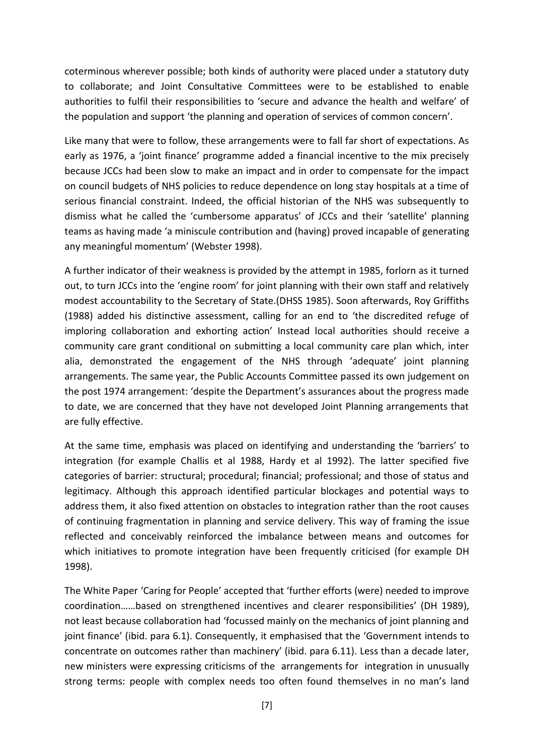coterminous wherever possible; both kinds of authority were placed under a statutory duty to collaborate; and Joint Consultative Committees were to be established to enable authorities to fulfil their responsibilities to 'secure and advance the health and welfare' of the population and support 'the planning and operation of services of common concern'.

Like many that were to follow, these arrangements were to fall far short of expectations. As early as 1976, a 'joint finance' programme added a financial incentive to the mix precisely because JCCs had been slow to make an impact and in order to compensate for the impact on council budgets of NHS policies to reduce dependence on long stay hospitals at a time of serious financial constraint. Indeed, the official historian of the NHS was subsequently to dismiss what he called the 'cumbersome apparatus' of JCCs and their 'satellite' planning teams as having made 'a miniscule contribution and (having) proved incapable of generating any meaningful momentum' (Webster 1998).

A further indicator of their weakness is provided by the attempt in 1985, forlorn as it turned out, to turn JCCs into the 'engine room' for joint planning with their own staff and relatively modest accountability to the Secretary of State.(DHSS 1985). Soon afterwards, Roy Griffiths (1988) added his distinctive assessment, calling for an end to 'the discredited refuge of imploring collaboration and exhorting action' Instead local authorities should receive a community care grant conditional on submitting a local community care plan which, inter alia, demonstrated the engagement of the NHS through 'adequate' joint planning arrangements. The same year, the Public Accounts Committee passed its own judgement on the post 1974 arrangement: 'despite the Department's assurances about the progress made to date, we are concerned that they have not developed Joint Planning arrangements that are fully effective.

At the same time, emphasis was placed on identifying and understanding the 'barriers' to integration (for example Challis et al 1988, Hardy et al 1992). The latter specified five categories of barrier: structural; procedural; financial; professional; and those of status and legitimacy. Although this approach identified particular blockages and potential ways to address them, it also fixed attention on obstacles to integration rather than the root causes of continuing fragmentation in planning and service delivery. This way of framing the issue reflected and conceivably reinforced the imbalance between means and outcomes for which initiatives to promote integration have been frequently criticised (for example DH 1998).

The White Paper 'Caring for People' accepted that 'further efforts (were) needed to improve coordination……based on strengthened incentives and clearer responsibilities' (DH 1989), not least because collaboration had 'focussed mainly on the mechanics of joint planning and joint finance' (ibid. para 6.1). Consequently, it emphasised that the 'Government intends to concentrate on outcomes rather than machinery' (ibid. para 6.11). Less than a decade later, new ministers were expressing criticisms of the arrangements for integration in unusually strong terms: people with complex needs too often found themselves in no man's land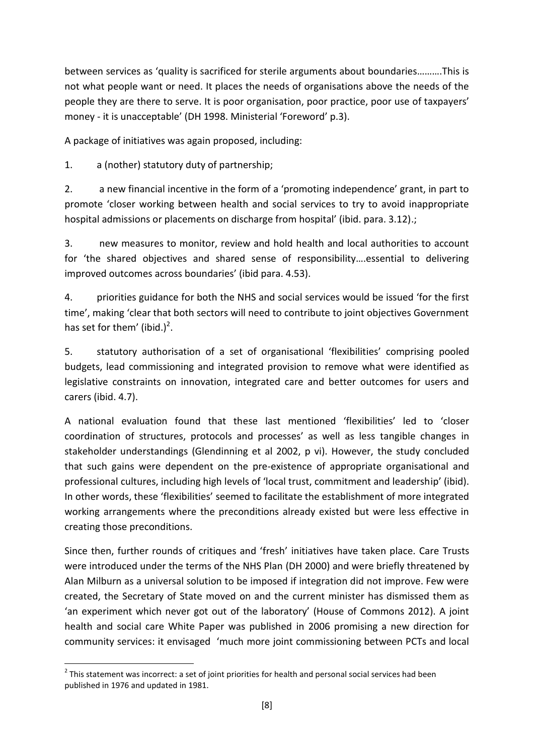between services as 'quality is sacrificed for sterile arguments about boundaries……….This is not what people want or need. It places the needs of organisations above the needs of the people they are there to serve. It is poor organisation, poor practice, poor use of taxpayers' money - it is unacceptable' (DH 1998. Ministerial 'Foreword' p.3).

A package of initiatives was again proposed, including:

1. a (nother) statutory duty of partnership;

2. a new financial incentive in the form of a 'promoting independence' grant, in part to promote 'closer working between health and social services to try to avoid inappropriate hospital admissions or placements on discharge from hospital' (ibid. para. 3.12).;

3. new measures to monitor, review and hold health and local authorities to account for 'the shared objectives and shared sense of responsibility….essential to delivering improved outcomes across boundaries' (ibid para. 4.53).

4. priorities guidance for both the NHS and social services would be issued 'for the first time', making 'clear that both sectors will need to contribute to joint objectives Government has set for them' (ibid.)<sup>2</sup>.

5. statutory authorisation of a set of organisational 'flexibilities' comprising pooled budgets, lead commissioning and integrated provision to remove what were identified as legislative constraints on innovation, integrated care and better outcomes for users and carers (ibid. 4.7).

A national evaluation found that these last mentioned 'flexibilities' led to 'closer coordination of structures, protocols and processes' as well as less tangible changes in stakeholder understandings (Glendinning et al 2002, p vi). However, the study concluded that such gains were dependent on the pre-existence of appropriate organisational and professional cultures, including high levels of 'local trust, commitment and leadership' (ibid). In other words, these 'flexibilities' seemed to facilitate the establishment of more integrated working arrangements where the preconditions already existed but were less effective in creating those preconditions.

Since then, further rounds of critiques and 'fresh' initiatives have taken place. Care Trusts were introduced under the terms of the NHS Plan (DH 2000) and were briefly threatened by Alan Milburn as a universal solution to be imposed if integration did not improve. Few were created, the Secretary of State moved on and the current minister has dismissed them as 'an experiment which never got out of the laboratory' (House of Commons 2012). A joint health and social care White Paper was published in 2006 promising a new direction for community services: it envisaged 'much more joint commissioning between PCTs and local

<sup>1</sup>  $2$  This statement was incorrect: a set of joint priorities for health and personal social services had been published in 1976 and updated in 1981.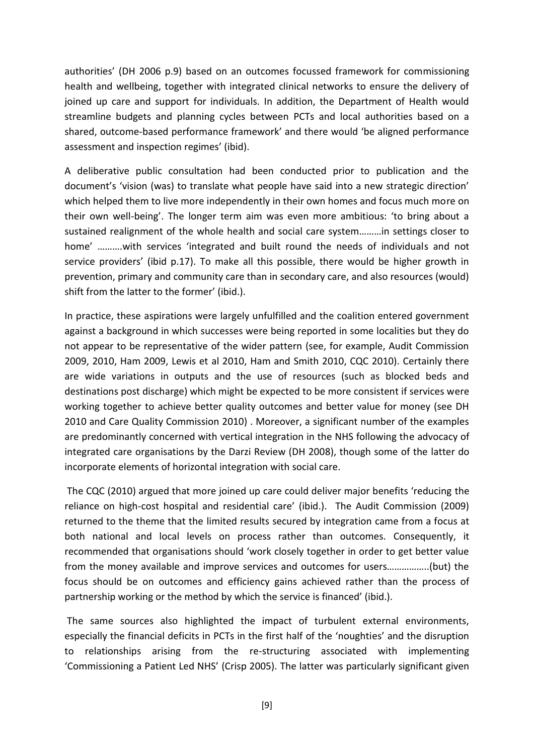authorities' (DH 2006 p.9) based on an outcomes focussed framework for commissioning health and wellbeing, together with integrated clinical networks to ensure the delivery of joined up care and support for individuals. In addition, the Department of Health would streamline budgets and planning cycles between PCTs and local authorities based on a shared, outcome-based performance framework' and there would 'be aligned performance assessment and inspection regimes' (ibid).

A deliberative public consultation had been conducted prior to publication and the document's 'vision (was) to translate what people have said into a new strategic direction' which helped them to live more independently in their own homes and focus much more on their own well-being'. The longer term aim was even more ambitious: 'to bring about a sustained realignment of the whole health and social care system………in settings closer to home' ……….with services 'integrated and built round the needs of individuals and not service providers' (ibid p.17). To make all this possible, there would be higher growth in prevention, primary and community care than in secondary care, and also resources (would) shift from the latter to the former' (ibid.).

In practice, these aspirations were largely unfulfilled and the coalition entered government against a background in which successes were being reported in some localities but they do not appear to be representative of the wider pattern (see, for example, Audit Commission 2009, 2010, Ham 2009, Lewis et al 2010, Ham and Smith 2010, CQC 2010). Certainly there are wide variations in outputs and the use of resources (such as blocked beds and destinations post discharge) which might be expected to be more consistent if services were working together to achieve better quality outcomes and better value for money (see DH 2010 and Care Quality Commission 2010) . Moreover, a significant number of the examples are predominantly concerned with vertical integration in the NHS following the advocacy of integrated care organisations by the Darzi Review (DH 2008), though some of the latter do incorporate elements of horizontal integration with social care.

The CQC (2010) argued that more joined up care could deliver major benefits 'reducing the reliance on high-cost hospital and residential care' (ibid.). The Audit Commission (2009) returned to the theme that the limited results secured by integration came from a focus at both national and local levels on process rather than outcomes. Consequently, it recommended that organisations should 'work closely together in order to get better value from the money available and improve services and outcomes for users……………..(but) the focus should be on outcomes and efficiency gains achieved rather than the process of partnership working or the method by which the service is financed' (ibid.).

The same sources also highlighted the impact of turbulent external environments, especially the financial deficits in PCTs in the first half of the 'noughties' and the disruption to relationships arising from the re-structuring associated with implementing 'Commissioning a Patient Led NHS' (Crisp 2005). The latter was particularly significant given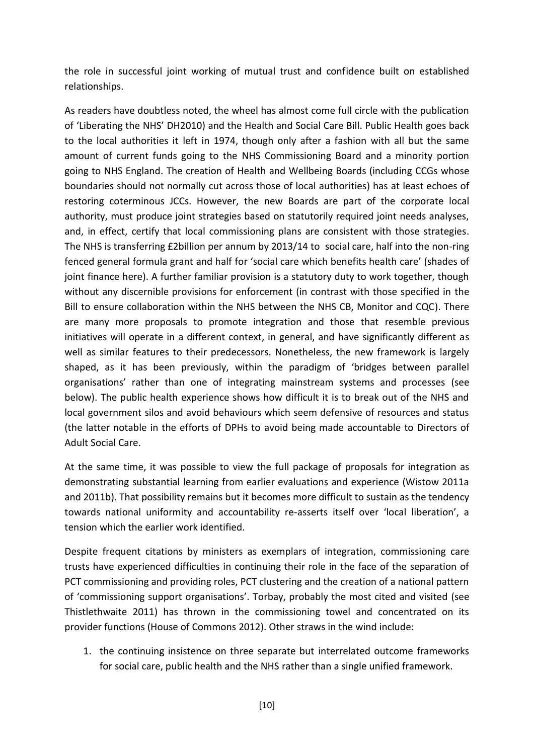the role in successful joint working of mutual trust and confidence built on established relationships.

As readers have doubtless noted, the wheel has almost come full circle with the publication of 'Liberating the NHS' DH2010) and the Health and Social Care Bill. Public Health goes back to the local authorities it left in 1974, though only after a fashion with all but the same amount of current funds going to the NHS Commissioning Board and a minority portion going to NHS England. The creation of Health and Wellbeing Boards (including CCGs whose boundaries should not normally cut across those of local authorities) has at least echoes of restoring coterminous JCCs. However, the new Boards are part of the corporate local authority, must produce joint strategies based on statutorily required joint needs analyses, and, in effect, certify that local commissioning plans are consistent with those strategies. The NHS is transferring £2billion per annum by 2013/14 to social care, half into the non-ring fenced general formula grant and half for 'social care which benefits health care' (shades of joint finance here). A further familiar provision is a statutory duty to work together, though without any discernible provisions for enforcement (in contrast with those specified in the Bill to ensure collaboration within the NHS between the NHS CB, Monitor and CQC). There are many more proposals to promote integration and those that resemble previous initiatives will operate in a different context, in general, and have significantly different as well as similar features to their predecessors. Nonetheless, the new framework is largely shaped, as it has been previously, within the paradigm of 'bridges between parallel organisations' rather than one of integrating mainstream systems and processes (see below). The public health experience shows how difficult it is to break out of the NHS and local government silos and avoid behaviours which seem defensive of resources and status (the latter notable in the efforts of DPHs to avoid being made accountable to Directors of Adult Social Care.

At the same time, it was possible to view the full package of proposals for integration as demonstrating substantial learning from earlier evaluations and experience (Wistow 2011a and 2011b). That possibility remains but it becomes more difficult to sustain as the tendency towards national uniformity and accountability re-asserts itself over 'local liberation', a tension which the earlier work identified.

Despite frequent citations by ministers as exemplars of integration, commissioning care trusts have experienced difficulties in continuing their role in the face of the separation of PCT commissioning and providing roles, PCT clustering and the creation of a national pattern of 'commissioning support organisations'. Torbay, probably the most cited and visited (see Thistlethwaite 2011) has thrown in the commissioning towel and concentrated on its provider functions (House of Commons 2012). Other straws in the wind include:

1. the continuing insistence on three separate but interrelated outcome frameworks for social care, public health and the NHS rather than a single unified framework.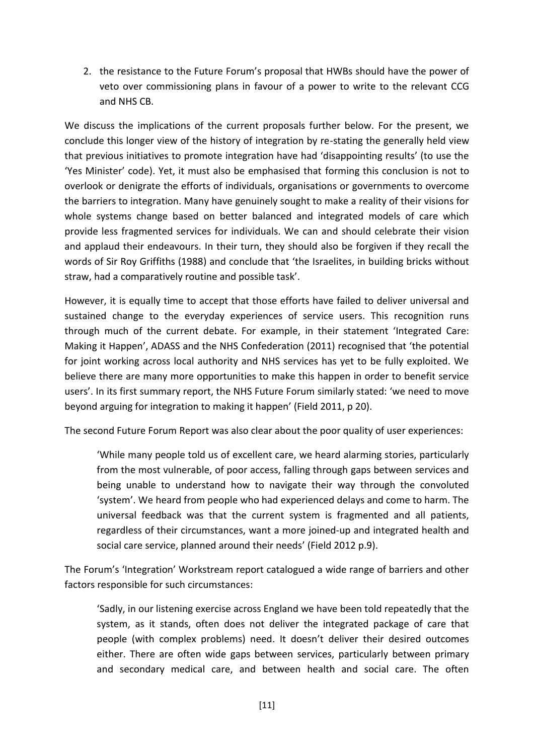2. the resistance to the Future Forum's proposal that HWBs should have the power of veto over commissioning plans in favour of a power to write to the relevant CCG and NHS CB.

We discuss the implications of the current proposals further below. For the present, we conclude this longer view of the history of integration by re-stating the generally held view that previous initiatives to promote integration have had 'disappointing results' (to use the 'Yes Minister' code). Yet, it must also be emphasised that forming this conclusion is not to overlook or denigrate the efforts of individuals, organisations or governments to overcome the barriers to integration. Many have genuinely sought to make a reality of their visions for whole systems change based on better balanced and integrated models of care which provide less fragmented services for individuals. We can and should celebrate their vision and applaud their endeavours. In their turn, they should also be forgiven if they recall the words of Sir Roy Griffiths (1988) and conclude that 'the Israelites, in building bricks without straw, had a comparatively routine and possible task'.

However, it is equally time to accept that those efforts have failed to deliver universal and sustained change to the everyday experiences of service users. This recognition runs through much of the current debate. For example, in their statement 'Integrated Care: Making it Happen', ADASS and the NHS Confederation (2011) recognised that 'the potential for joint working across local authority and NHS services has yet to be fully exploited. We believe there are many more opportunities to make this happen in order to benefit service users'. In its first summary report, the NHS Future Forum similarly stated: 'we need to move beyond arguing for integration to making it happen' (Field 2011, p 20).

The second Future Forum Report was also clear about the poor quality of user experiences:

'While many people told us of excellent care, we heard alarming stories, particularly from the most vulnerable, of poor access, falling through gaps between services and being unable to understand how to navigate their way through the convoluted 'system'. We heard from people who had experienced delays and come to harm. The universal feedback was that the current system is fragmented and all patients, regardless of their circumstances, want a more joined‐up and integrated health and social care service, planned around their needs' (Field 2012 p.9).

The Forum's 'Integration' Workstream report catalogued a wide range of barriers and other factors responsible for such circumstances:

'Sadly, in our listening exercise across England we have been told repeatedly that the system, as it stands, often does not deliver the integrated package of care that people (with complex problems) need. It doesn't deliver their desired outcomes either. There are often wide gaps between services, particularly between primary and secondary medical care, and between health and social care. The often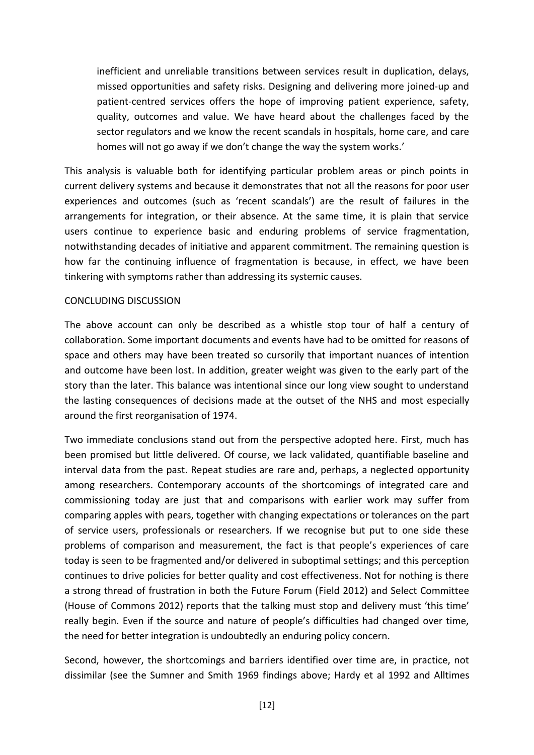inefficient and unreliable transitions between services result in duplication, delays, missed opportunities and safety risks. Designing and delivering more joined‐up and patient‐centred services offers the hope of improving patient experience, safety, quality, outcomes and value. We have heard about the challenges faced by the sector regulators and we know the recent scandals in hospitals, home care, and care homes will not go away if we don't change the way the system works.'

This analysis is valuable both for identifying particular problem areas or pinch points in current delivery systems and because it demonstrates that not all the reasons for poor user experiences and outcomes (such as 'recent scandals') are the result of failures in the arrangements for integration, or their absence. At the same time, it is plain that service users continue to experience basic and enduring problems of service fragmentation, notwithstanding decades of initiative and apparent commitment. The remaining question is how far the continuing influence of fragmentation is because, in effect, we have been tinkering with symptoms rather than addressing its systemic causes.

#### CONCLUDING DISCUSSION

The above account can only be described as a whistle stop tour of half a century of collaboration. Some important documents and events have had to be omitted for reasons of space and others may have been treated so cursorily that important nuances of intention and outcome have been lost. In addition, greater weight was given to the early part of the story than the later. This balance was intentional since our long view sought to understand the lasting consequences of decisions made at the outset of the NHS and most especially around the first reorganisation of 1974.

Two immediate conclusions stand out from the perspective adopted here. First, much has been promised but little delivered. Of course, we lack validated, quantifiable baseline and interval data from the past. Repeat studies are rare and, perhaps, a neglected opportunity among researchers. Contemporary accounts of the shortcomings of integrated care and commissioning today are just that and comparisons with earlier work may suffer from comparing apples with pears, together with changing expectations or tolerances on the part of service users, professionals or researchers. If we recognise but put to one side these problems of comparison and measurement, the fact is that people's experiences of care today is seen to be fragmented and/or delivered in suboptimal settings; and this perception continues to drive policies for better quality and cost effectiveness. Not for nothing is there a strong thread of frustration in both the Future Forum (Field 2012) and Select Committee (House of Commons 2012) reports that the talking must stop and delivery must 'this time' really begin. Even if the source and nature of people's difficulties had changed over time, the need for better integration is undoubtedly an enduring policy concern.

Second, however, the shortcomings and barriers identified over time are, in practice, not dissimilar (see the Sumner and Smith 1969 findings above; Hardy et al 1992 and Alltimes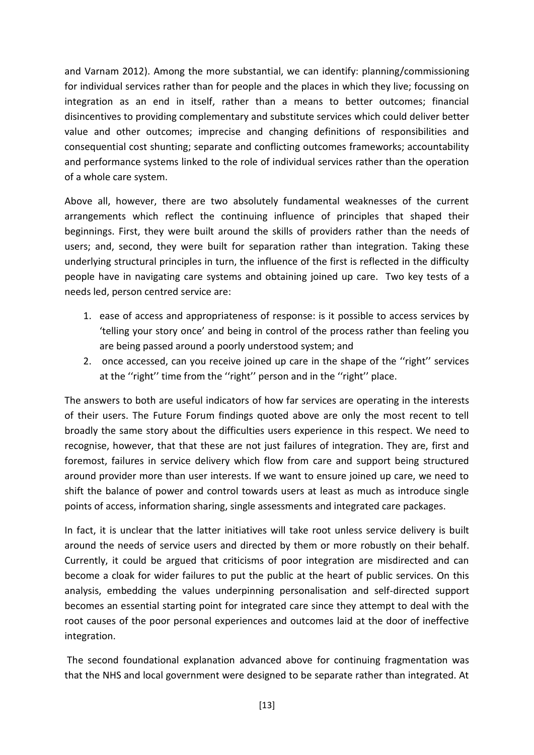and Varnam 2012). Among the more substantial, we can identify: planning/commissioning for individual services rather than for people and the places in which they live; focussing on integration as an end in itself, rather than a means to better outcomes; financial disincentives to providing complementary and substitute services which could deliver better value and other outcomes; imprecise and changing definitions of responsibilities and consequential cost shunting; separate and conflicting outcomes frameworks; accountability and performance systems linked to the role of individual services rather than the operation of a whole care system.

Above all, however, there are two absolutely fundamental weaknesses of the current arrangements which reflect the continuing influence of principles that shaped their beginnings. First, they were built around the skills of providers rather than the needs of users; and, second, they were built for separation rather than integration. Taking these underlying structural principles in turn, the influence of the first is reflected in the difficulty people have in navigating care systems and obtaining joined up care. Two key tests of a needs led, person centred service are:

- 1. ease of access and appropriateness of response: is it possible to access services by 'telling your story once' and being in control of the process rather than feeling you are being passed around a poorly understood system; and
- 2. once accessed, can you receive joined up care in the shape of the ''right'' services at the ''right'' time from the ''right'' person and in the ''right'' place.

The answers to both are useful indicators of how far services are operating in the interests of their users. The Future Forum findings quoted above are only the most recent to tell broadly the same story about the difficulties users experience in this respect. We need to recognise, however, that that these are not just failures of integration. They are, first and foremost, failures in service delivery which flow from care and support being structured around provider more than user interests. If we want to ensure joined up care, we need to shift the balance of power and control towards users at least as much as introduce single points of access, information sharing, single assessments and integrated care packages.

In fact, it is unclear that the latter initiatives will take root unless service delivery is built around the needs of service users and directed by them or more robustly on their behalf. Currently, it could be argued that criticisms of poor integration are misdirected and can become a cloak for wider failures to put the public at the heart of public services. On this analysis, embedding the values underpinning personalisation and self-directed support becomes an essential starting point for integrated care since they attempt to deal with the root causes of the poor personal experiences and outcomes laid at the door of ineffective integration.

The second foundational explanation advanced above for continuing fragmentation was that the NHS and local government were designed to be separate rather than integrated. At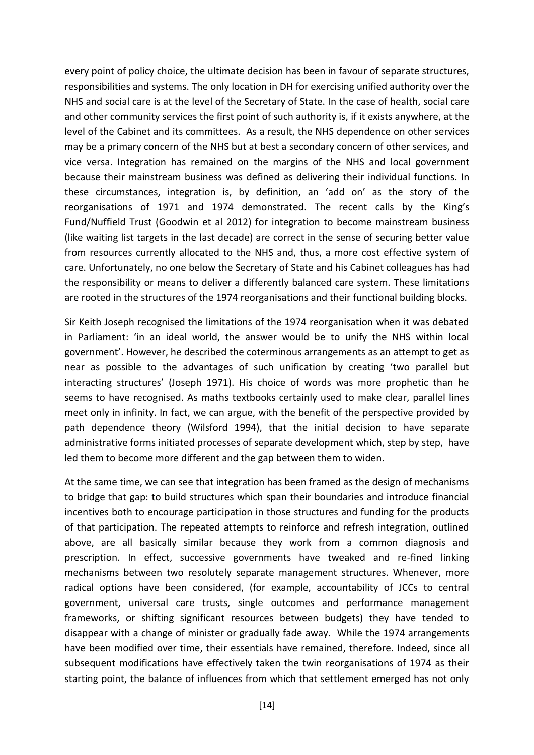every point of policy choice, the ultimate decision has been in favour of separate structures, responsibilities and systems. The only location in DH for exercising unified authority over the NHS and social care is at the level of the Secretary of State. In the case of health, social care and other community services the first point of such authority is, if it exists anywhere, at the level of the Cabinet and its committees. As a result, the NHS dependence on other services may be a primary concern of the NHS but at best a secondary concern of other services, and vice versa. Integration has remained on the margins of the NHS and local government because their mainstream business was defined as delivering their individual functions. In these circumstances, integration is, by definition, an 'add on' as the story of the reorganisations of 1971 and 1974 demonstrated. The recent calls by the King's Fund/Nuffield Trust (Goodwin et al 2012) for integration to become mainstream business (like waiting list targets in the last decade) are correct in the sense of securing better value from resources currently allocated to the NHS and, thus, a more cost effective system of care. Unfortunately, no one below the Secretary of State and his Cabinet colleagues has had the responsibility or means to deliver a differently balanced care system. These limitations are rooted in the structures of the 1974 reorganisations and their functional building blocks.

Sir Keith Joseph recognised the limitations of the 1974 reorganisation when it was debated in Parliament: 'in an ideal world, the answer would be to unify the NHS within local government'. However, he described the coterminous arrangements as an attempt to get as near as possible to the advantages of such unification by creating 'two parallel but interacting structures' (Joseph 1971). His choice of words was more prophetic than he seems to have recognised. As maths textbooks certainly used to make clear, parallel lines meet only in infinity. In fact, we can argue, with the benefit of the perspective provided by path dependence theory (Wilsford 1994), that the initial decision to have separate administrative forms initiated processes of separate development which, step by step, have led them to become more different and the gap between them to widen.

At the same time, we can see that integration has been framed as the design of mechanisms to bridge that gap: to build structures which span their boundaries and introduce financial incentives both to encourage participation in those structures and funding for the products of that participation. The repeated attempts to reinforce and refresh integration, outlined above, are all basically similar because they work from a common diagnosis and prescription. In effect, successive governments have tweaked and re-fined linking mechanisms between two resolutely separate management structures. Whenever, more radical options have been considered, (for example, accountability of JCCs to central government, universal care trusts, single outcomes and performance management frameworks, or shifting significant resources between budgets) they have tended to disappear with a change of minister or gradually fade away. While the 1974 arrangements have been modified over time, their essentials have remained, therefore. Indeed, since all subsequent modifications have effectively taken the twin reorganisations of 1974 as their starting point, the balance of influences from which that settlement emerged has not only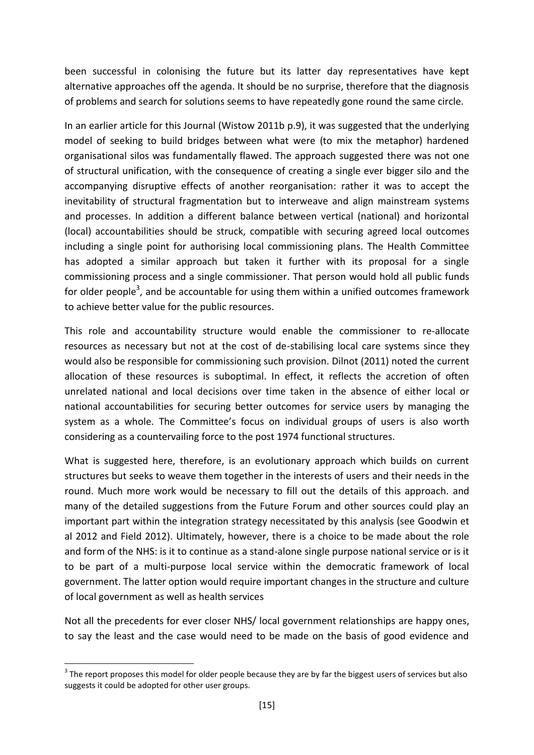been successful in colonising the future but its latter day representatives have kept alternative approaches off the agenda. It should be no surprise, therefore that the diagnosis of problems and search for solutions seems to have repeatedly gone round the same circle.

In an earlier article for this Journal (Wistow 2011b p.9), it was suggested that the underlying model of seeking to build bridges between what were (to mix the metaphor) hardened organisational silos was fundamentally flawed. The approach suggested there was not one of structural unification, with the consequence of creating a single ever bigger silo and the accompanying disruptive effects of another reorganisation: rather it was to accept the inevitability of structural fragmentation but to interweave and align mainstream systems and processes. In addition a different balance between vertical (national) and horizontal (local) accountabilities should be struck, compatible with securing agreed local outcomes including a single point for authorising local commissioning plans. The Health Committee has adopted a similar approach but taken it further with its proposal for a single commissioning process and a single commissioner. That person would hold all public funds for older people<sup>3</sup>, and be accountable for using them within a unified outcomes framework to achieve better value for the public resources.

This role and accountability structure would enable the commissioner to re-allocate resources as necessary but not at the cost of de-stabilising local care systems since they would also be responsible for commissioning such provision. Dilnot (2011) noted the current allocation of these resources is suboptimal. In effect, it reflects the accretion of often unrelated national and local decisions over time taken in the absence of either local or national accountabilities for securing better outcomes for service users by managing the system as a whole. The Committee's focus on individual groups of users is also worth considering as a countervailing force to the post 1974 functional structures.

What is suggested here, therefore, is an evolutionary approach which builds on current structures but seeks to weave them together in the interests of users and their needs in the round. Much more work would be necessary to fill out the details of this approach. and many of the detailed suggestions from the Future Forum and other sources could play an important part within the integration strategy necessitated by this analysis (see Goodwin et al 2012 and Field 2012). Ultimately, however, there is a choice to be made about the role and form of the NHS: is it to continue as a stand-alone single purpose national service or is it to be part of a multi-purpose local service within the democratic framework of local government. The latter option would require important changes in the structure and culture of local government as well as health services

Not all the precedents for ever closer NHS/ local government relationships are happy ones, to say the least and the case would need to be made on the basis of good evidence and

1

 $3$  The report proposes this model for older people because they are by far the biggest users of services but also suggests it could be adopted for other user groups.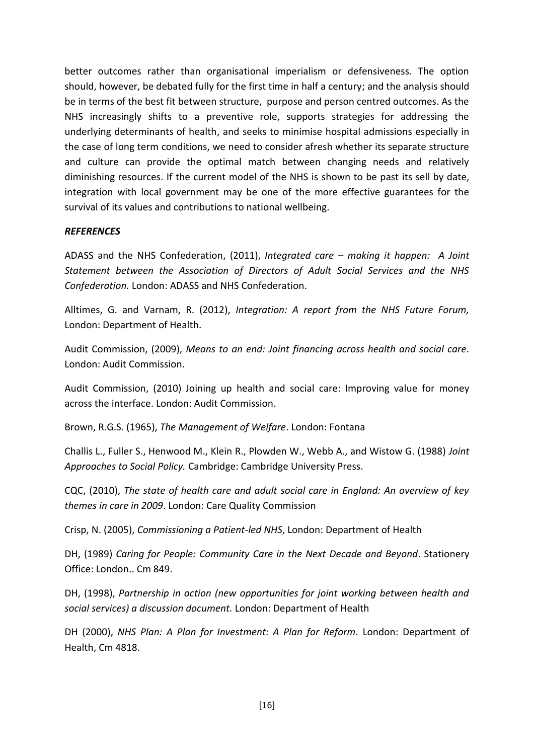better outcomes rather than organisational imperialism or defensiveness. The option should, however, be debated fully for the first time in half a century; and the analysis should be in terms of the best fit between structure, purpose and person centred outcomes. As the NHS increasingly shifts to a preventive role, supports strategies for addressing the underlying determinants of health, and seeks to minimise hospital admissions especially in the case of long term conditions, we need to consider afresh whether its separate structure and culture can provide the optimal match between changing needs and relatively diminishing resources. If the current model of the NHS is shown to be past its sell by date, integration with local government may be one of the more effective guarantees for the survival of its values and contributions to national wellbeing.

## *REFERENCES*

ADASS and the NHS Confederation, (2011), *Integrated care – making it happen: A Joint Statement between the Association of Directors of Adult Social Services and the NHS Confederation.* London: ADASS and NHS Confederation.

Alltimes, G. and Varnam, R. (2012), *Integration: A report from the NHS Future Forum,*  London: Department of Health.

Audit Commission, (2009), *Means to an end: Joint financing across health and social care*. London: Audit Commission.

Audit Commission, (2010) Joining up health and social care: Improving value for money across the interface. London: Audit Commission.

Brown, R.G.S. (1965), *The Management of Welfare*. London: Fontana

Challis L., Fuller S., Henwood M., Klein R., Plowden W., Webb A., and Wistow G. (1988) *Joint Approaches to Social Policy.* Cambridge: Cambridge University Press.

CQC, (2010), *The state of health care and adult social care in England: An overview of key themes in care in 2009*. London: Care Quality Commission

Crisp, N. (2005), *Commissioning a Patient-led NHS*, London: Department of Health

DH, (1989) *Caring for People: Community Care in the Next Decade and Beyond*. Stationery Office: London.. Cm 849.

DH, (1998), *Partnership in action (new opportunities for joint working between health and social services) a discussion document.* London: Department of Health

DH (2000), *NHS Plan: A Plan for Investment: A Plan for Reform*. London: Department of Health, Cm 4818.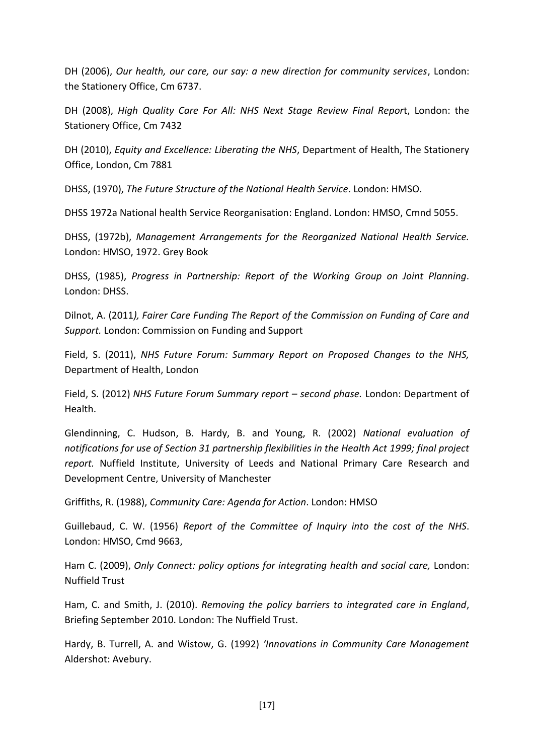DH (2006), *Our health, our care, our say: a new direction for community services*, London: the Stationery Office, Cm 6737.

DH (2008), *High Quality Care For All: NHS Next Stage Review Final Repor*t, London: the Stationery Office, Cm 7432

DH (2010), *Equity and Excellence: Liberating the NHS*, Department of Health, The Stationery Office, London, Cm 7881

DHSS, (1970), *The Future Structure of the National Health Service*. London: HMSO.

DHSS 1972a National health Service Reorganisation: England. London: HMSO, Cmnd 5055.

DHSS, (1972b), *Management Arrangements for the Reorganized National Health Service.*  London: HMSO, 1972. Grey Book

DHSS, (1985), *Progress in Partnership: Report of the Working Group on Joint Planning*. London: DHSS.

Dilnot, A. (2011*), Fairer Care Funding The Report of the Commission on Funding of Care and Support.* London: Commission on Funding and Support

Field, S. (2011), *NHS Future Forum: Summary Report on Proposed Changes to the NHS,* Department of Health, London

Field, S. (2012) *NHS Future Forum Summary report – second phase.* London: Department of Health.

Glendinning, C. Hudson, B. Hardy, B. and Young, R. (2002) *National evaluation of notifications for use of Section 31 partnership flexibilities in the Health Act 1999; final project report.* Nuffield Institute, University of Leeds and National Primary Care Research and Development Centre, University of Manchester

Griffiths, R. (1988), *Community Care: Agenda for Action*. London: HMSO

Guillebaud, C. W. (1956) *Report of the Committee of Inquiry into the cost of the NHS*. London: HMSO, Cmd 9663,

Ham C. (2009), *Only Connect: policy options for integrating health and social care,* London: Nuffield Trust

Ham, C. and Smith, J. (2010). *Removing the policy barriers to integrated care in England*, Briefing September 2010. London: The Nuffield Trust.

Hardy, B. Turrell, A. and Wistow, G. (1992) *'Innovations in Community Care Management* Aldershot: Avebury.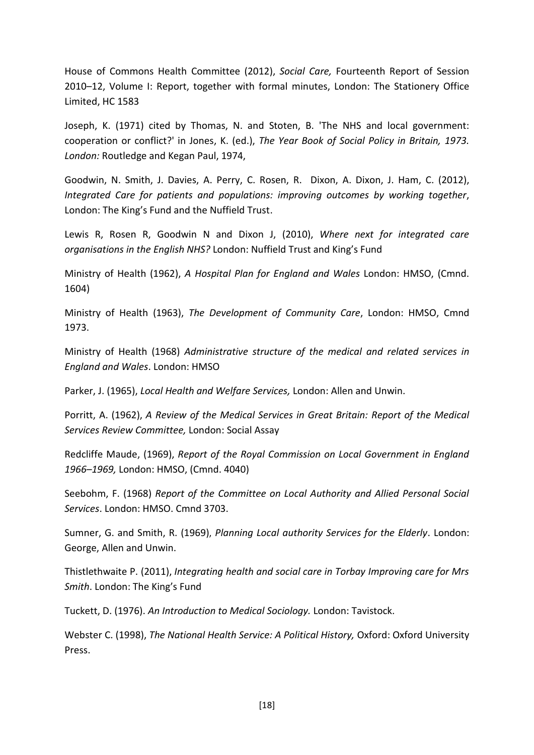House of Commons Health Committee (2012), *Social Care,* Fourteenth Report of Session 2010–12, Volume I: Report, together with formal minutes, London: The Stationery Office Limited, HC 1583

Joseph, K. (1971) cited by Thomas, N. and Stoten, B. 'The NHS and local government: cooperation or conflict?' in Jones, K. (ed.), *The Year Book of Social Policy in Britain, 1973. London:* Routledge and Kegan Paul, 1974,

Goodwin, N. Smith, J. Davies, A. Perry, C. Rosen, R. Dixon, A. Dixon, J. Ham, C. (2012), *Integrated Care for patients and populations: improving outcomes by working together*, London: The King's Fund and the Nuffield Trust.

Lewis R, Rosen R, Goodwin N and Dixon J, (2010), *Where next for integrated care organisations in the English NHS?* London: Nuffield Trust and King's Fund

Ministry of Health (1962), *A Hospital Plan for England and Wales* London: HMSO, (Cmnd. 1604)

Ministry of Health (1963), *The Development of Community Care*, London: HMSO, Cmnd 1973.

Ministry of Health (1968) *Administrative structure of the medical and related services in England and Wales*. London: HMSO

Parker, J. (1965), *Local Health and Welfare Services,* London: Allen and Unwin.

Porritt, A. (1962), *A Review of the Medical Services in Great Britain: Report of the Medical Services Review Committee,* London: Social Assay

Redcliffe Maude, (1969), *Report of the Royal Commission on Local Government in England 1966–1969,* London: HMSO, (Cmnd. 4040)

Seebohm, F. (1968) *Report of the Committee on Local Authority and Allied Personal Social Services*. London: HMSO. Cmnd 3703.

Sumner, G. and Smith, R. (1969), *Planning Local authority Services for the Elderly*. London: George, Allen and Unwin.

Thistlethwaite P. (2011), *Integrating health and social care in Torbay Improving care for Mrs Smith*. London: The King's Fund

Tuckett, D. (1976). *An Introduction to Medical Sociology.* London: Tavistock.

Webster C. (1998), *The National Health Service: A Political History,* Oxford: Oxford University Press.